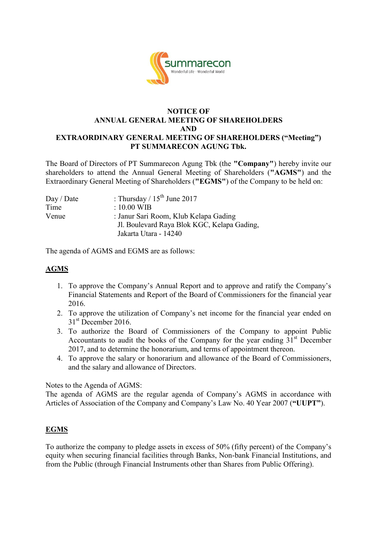

## **NOTICE OF ANNUAL GENERAL MEETING OF SHAREHOLDERS AND EXTRAORDINARY GENERAL MEETING OF SHAREHOLDERS ("Meeting") PT SUMMARECON AGUNG Tbk.**

The Board of Directors of PT Summarecon Agung Tbk (the **"Company"**) hereby invite our shareholders to attend the Annual General Meeting of Shareholders (**"AGMS"**) and the Extraordinary General Meeting of Shareholders (**"EGMS"**) of the Company to be held on:

| Day / Date | : Thursday / $15^{th}$ June 2017           |
|------------|--------------------------------------------|
| Time       | $: 10.00$ WIB                              |
| Venue      | : Janur Sari Room, Klub Kelapa Gading      |
|            | J. Boulevard Raya Blok KGC, Kelapa Gading, |
|            | Jakarta Utara - 14240                      |

The agenda of AGMS and EGMS are as follows:

## **AGMS**

- 1. To approve the Company's Annual Report and to approve and ratify the Company's Financial Statements and Report of the Board of Commissioners for the financial year 2016.
- 2. To approve the utilization of Company's net income for the financial year ended on 31<sup>st</sup> December 2016.
- 3. To authorize the Board of Commissioners of the Company to appoint Public Accountants to audit the books of the Company for the year ending  $31<sup>st</sup>$  December 2017, and to determine the honorarium, and terms of appointment thereon.
- 4. To approve the salary or honorarium and allowance of the Board of Commissioners, and the salary and allowance of Directors.

Notes to the Agenda of AGMS:

The agenda of AGMS are the regular agenda of Company's AGMS in accordance with Articles of Association of the Company and Company's Law No. 40 Year 2007 (**"UUPT"**).

## **EGMS**

To authorize the company to pledge assets in excess of 50% (fifty percent) of the Company's equity when securing financial facilities through Banks, Non-bank Financial Institutions, and from the Public (through Financial Instruments other than Shares from Public Offering).